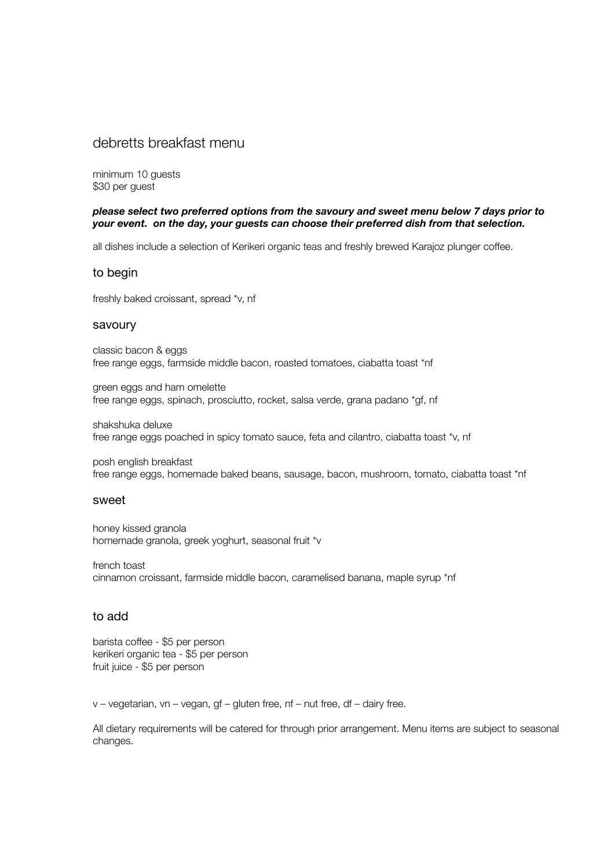## debretts breakfast menu

minimum 10 guests \$30 per guest

### *please select two preferred options from the savoury and sweet menu below 7 days prior to your event. on the day, your guests can choose their preferred dish from that selection.*

all dishes include a selection of Kerikeri organic teas and freshly brewed Karajoz plunger coffee.

### to begin

freshly baked croissant, spread \*v, nf

#### savoury

classic bacon & eggs free range eggs, farmside middle bacon, roasted tomatoes, ciabatta toast \*nf

green eggs and ham omelette free range eggs, spinach, prosciutto, rocket, salsa verde, grana padano \*gf, nf

shakshuka deluxe free range eggs poached in spicy tomato sauce, feta and cilantro, ciabatta toast \*v, nf

posh english breakfast free range eggs, homemade baked beans, sausage, bacon, mushroom, tomato, ciabatta toast \*nf

### sweet

honey kissed granola homemade granola, greek yoghurt, seasonal fruit \*v

french toast cinnamon croissant, farmside middle bacon, caramelised banana, maple syrup \*nf

### to add

barista coffee - \$5 per person kerikeri organic tea - \$5 per person fruit juice - \$5 per person

v – vegetarian, vn – vegan, gf – gluten free, nf – nut free, df – dairy free.

All dietary requirements will be catered for through prior arrangement. Menu items are subject to seasonal changes.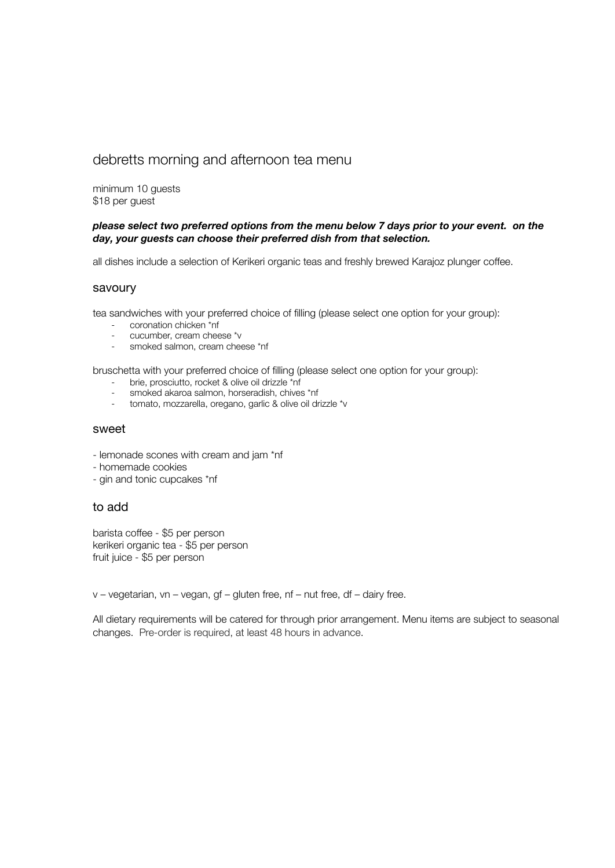# debretts morning and afternoon tea menu

minimum 10 guests \$18 per guest

### *please select two preferred options from the menu below 7 days prior to your event. on the day, your guests can choose their preferred dish from that selection.*

all dishes include a selection of Kerikeri organic teas and freshly brewed Karajoz plunger coffee.

### savoury

tea sandwiches with your preferred choice of filling (please select one option for your group):

- coronation chicken \*nf
- cucumber, cream cheese \*v
- smoked salmon, cream cheese \*nf

bruschetta with your preferred choice of filling (please select one option for your group):

- brie, prosciutto, rocket & olive oil drizzle \*nf
- smoked akaroa salmon, horseradish, chives \*nf
- tomato, mozzarella, oregano, garlic & olive oil drizzle \*v

### sweet

- lemonade scones with cream and jam \*nf
- homemade cookies
- gin and tonic cupcakes \*nf

### to add

barista coffee - \$5 per person kerikeri organic tea - \$5 per person fruit juice - \$5 per person

v – vegetarian, vn – vegan, gf – gluten free, nf – nut free, df – dairy free.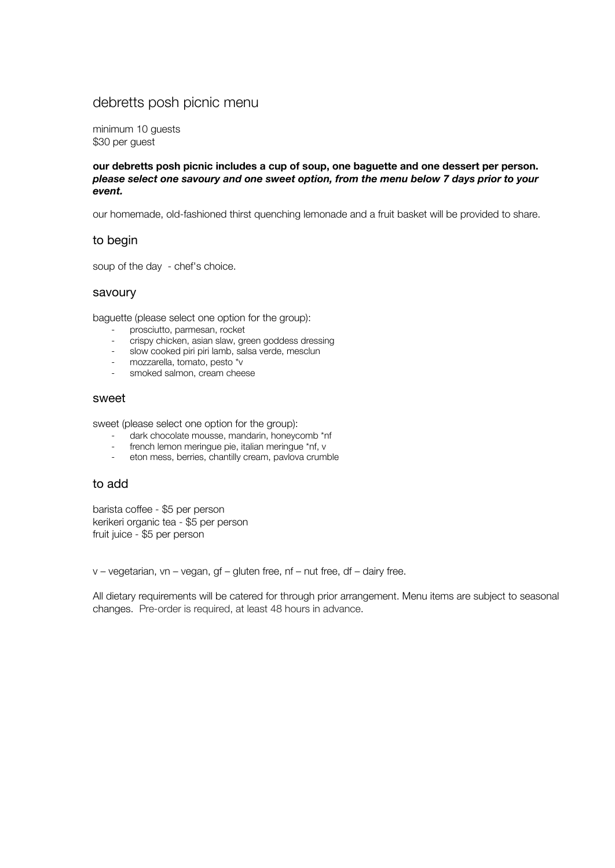# debretts posh picnic menu

minimum 10 guests \$30 per guest

**our debretts posh picnic includes a cup of soup, one baguette and one dessert per person.** *please select one savoury and one sweet option, from the menu below 7 days prior to your event.*

our homemade, old-fashioned thirst quenching lemonade and a fruit basket will be provided to share.

### to begin

soup of the day - chef's choice.

#### savoury

baguette (please select one option for the group):

- prosciutto, parmesan, rocket
- crispy chicken, asian slaw, green goddess dressing
- slow cooked piri piri lamb, salsa verde, mesclun
- mozzarella, tomato, pesto \*v
- smoked salmon, cream cheese

#### sweet

sweet (please select one option for the group):

- dark chocolate mousse, mandarin, honeycomb \*nf
- french lemon meringue pie, italian meringue \*nf, v<br>eton mess. berries. chantilly cream. paylova crum
- eton mess, berries, chantilly cream, pavlova crumble

### to add

barista coffee - \$5 per person kerikeri organic tea - \$5 per person fruit juice - \$5 per person

v – vegetarian, vn – vegan, gf – gluten free, nf – nut free, df – dairy free.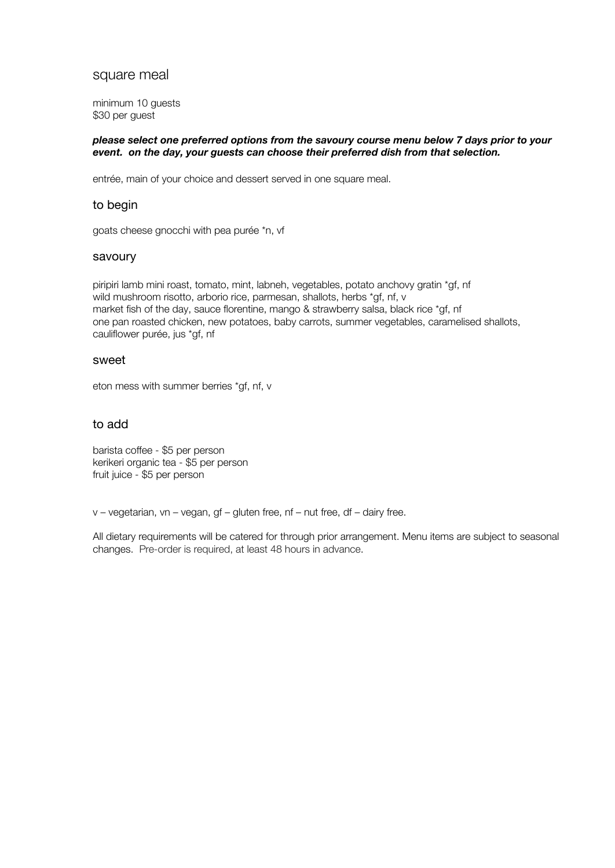### square meal

minimum 10 guests \$30 per guest

### *please select one preferred options from the savoury course menu below 7 days prior to your event. on the day, your guests can choose their preferred dish from that selection.*

entrée, main of your choice and dessert served in one square meal.

### to begin

goats cheese gnocchi with pea purée \*n, vf

#### savoury

piripiri lamb mini roast, tomato, mint, labneh, vegetables, potato anchovy gratin \*gf, nf wild mushroom risotto, arborio rice, parmesan, shallots, herbs \*gf, nf, v market fish of the day, sauce florentine, mango & strawberry salsa, black rice \*gf, nf one pan roasted chicken, new potatoes, baby carrots, summer vegetables, caramelised shallots, cauliflower purée, jus \*gf, nf

### sweet

eton mess with summer berries \*gf, nf, v

### to add

barista coffee - \$5 per person kerikeri organic tea - \$5 per person fruit juice - \$5 per person

v – vegetarian, vn – vegan, gf – gluten free, nf – nut free, df – dairy free.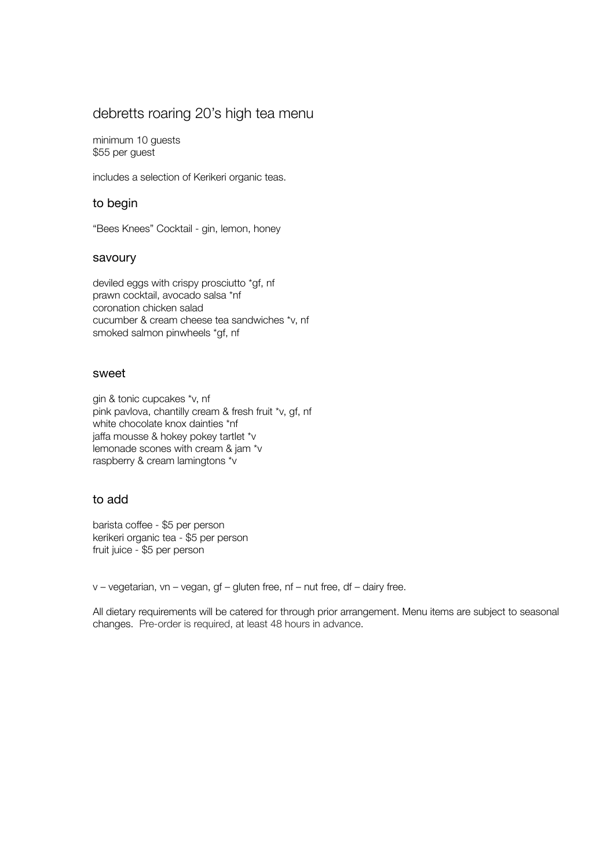# debretts roaring 20's high tea menu

minimum 10 guests \$55 per guest

includes a selection of Kerikeri organic teas.

### to begin

"Bees Knees" Cocktail - gin, lemon, honey

### savoury

deviled eggs with crispy prosciutto \*gf, nf prawn cocktail, avocado salsa \*nf coronation chicken salad cucumber & cream cheese tea sandwiches \*v, nf smoked salmon pinwheels \*gf, nf

### sweet

gin & tonic cupcakes \*v, nf pink pavlova, chantilly cream & fresh fruit \*v, gf, nf white chocolate knox dainties \*nf jaffa mousse & hokey pokey tartlet \*v lemonade scones with cream & jam \*v raspberry & cream lamingtons \*v

### to add

barista coffee - \$5 per person kerikeri organic tea - \$5 per person fruit juice - \$5 per person

v – vegetarian, vn – vegan, gf – gluten free, nf – nut free, df – dairy free.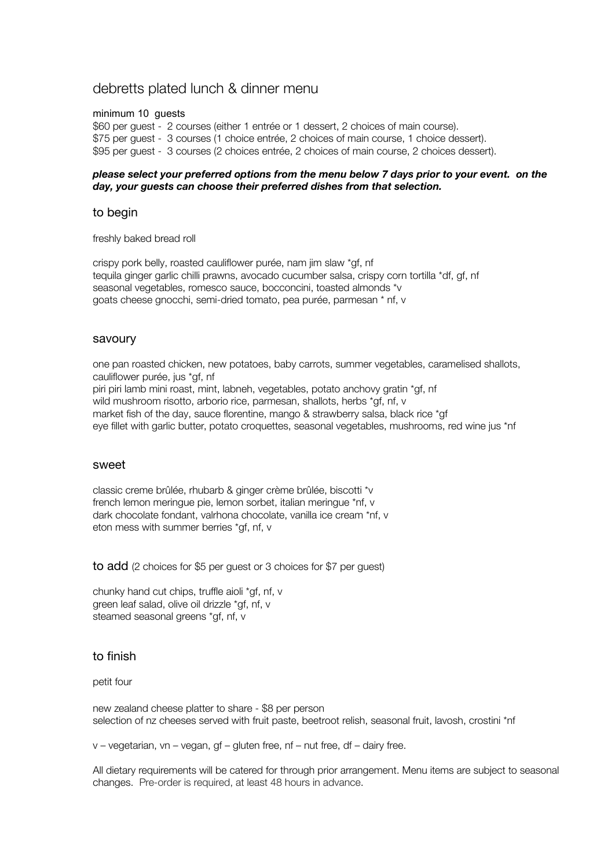### debretts plated lunch & dinner menu

minimum 10 guests

\$60 per guest - 2 courses (either 1 entrée or 1 dessert, 2 choices of main course). \$75 per guest - 3 courses (1 choice entrée, 2 choices of main course, 1 choice dessert). \$95 per guest - 3 courses (2 choices entrée, 2 choices of main course, 2 choices dessert).

### *please select your preferred options from the menu below 7 days prior to your event. on the day, your guests can choose their preferred dishes from that selection.*

#### to begin

freshly baked bread roll

crispy pork belly, roasted cauliflower purée, nam jim slaw \*gf, nf tequila ginger garlic chilli prawns, avocado cucumber salsa, crispy corn tortilla \*df, gf, nf seasonal vegetables, romesco sauce, bocconcini, toasted almonds \*v goats cheese gnocchi, semi-dried tomato, pea purée, parmesan \* nf, v

### savoury

one pan roasted chicken, new potatoes, baby carrots, summer vegetables, caramelised shallots, cauliflower purée, jus \*gf, nf piri piri lamb mini roast, mint, labneh, vegetables, potato anchovy gratin \*gf, nf wild mushroom risotto, arborio rice, parmesan, shallots, herbs \*qf, nf, v market fish of the day, sauce florentine, mango & strawberry salsa, black rice \*gf eye fillet with garlic butter, potato croquettes, seasonal vegetables, mushrooms, red wine jus \*nf

#### sweet

classic creme brûlée, rhubarb & ginger crème brûlée, biscotti \*v french lemon meringue pie, lemon sorbet, italian meringue \*nf, v dark chocolate fondant, valrhona chocolate, vanilla ice cream \*nf, v eton mess with summer berries \*gf, nf, v

to add (2 choices for \$5 per guest or 3 choices for \$7 per guest)

chunky hand cut chips, truffle aioli \*gf, nf, v green leaf salad, olive oil drizzle \*gf, nf, v steamed seasonal greens \*gf, nf, v

### to finish

### petit four

new zealand cheese platter to share - \$8 per person selection of nz cheeses served with fruit paste, beetroot relish, seasonal fruit, lavosh, crostini \*nf

v – vegetarian, vn – vegan, gf – gluten free, nf – nut free, df – dairy free.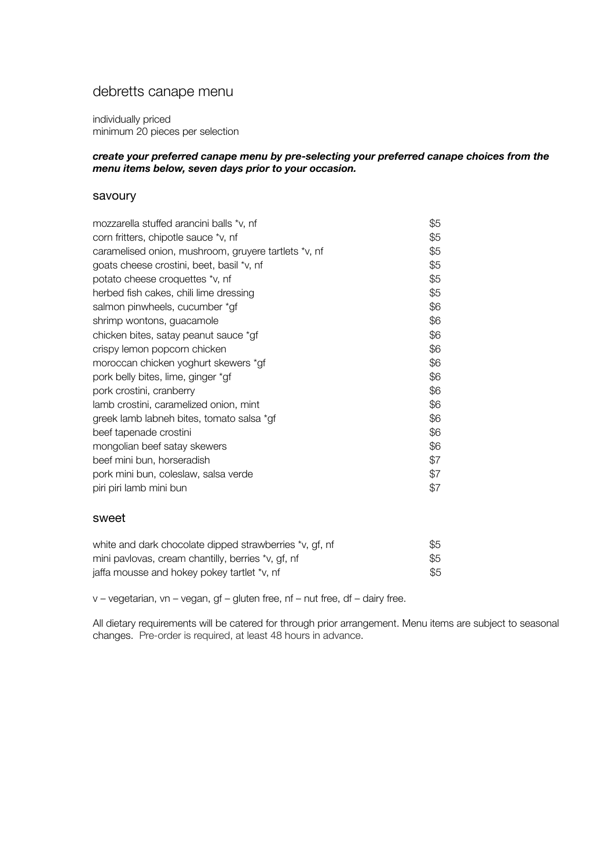# debretts canape menu

individually priced minimum 20 pieces per selection

### *create your preferred canape menu by pre-selecting your preferred canape choices from the menu items below, seven days prior to your occasion.*

### savoury

| mozzarella stuffed arancini balls *v, nf             | \$5 |
|------------------------------------------------------|-----|
| corn fritters, chipotle sauce *v, nf                 | \$5 |
| caramelised onion, mushroom, gruyere tartlets *v, nf | \$5 |
| goats cheese crostini, beet, basil *v, nf            | \$5 |
| potato cheese croquettes *v, nf                      | \$5 |
| herbed fish cakes, chili lime dressing               | \$5 |
| salmon pinwheels, cucumber *gf                       | \$6 |
| shrimp wontons, guacamole                            | \$6 |
| chicken bites, satay peanut sauce *gf                | \$6 |
| crispy lemon popcorn chicken                         | \$6 |
| moroccan chicken yoghurt skewers *gf                 | \$6 |
| pork belly bites, lime, ginger *gf                   | \$6 |
| pork crostini, cranberry                             | \$6 |
| lamb crostini, caramelized onion, mint               | \$6 |
| greek lamb labneh bites, tomato salsa *gf            | \$6 |
| beef tapenade crostini                               | \$6 |
| mongolian beef satay skewers                         | \$6 |
| beef mini bun, horseradish                           | \$7 |
| pork mini bun, coleslaw, salsa verde                 | \$7 |
| piri piri lamb mini bun                              | \$7 |
|                                                      |     |
|                                                      |     |

### sweet

| white and dark chocolate dipped strawberries *v, gf, nf | \$5 |
|---------------------------------------------------------|-----|
| mini pavlovas, cream chantilly, berries *v, gf, nf      | \$5 |
| jaffa mousse and hokey pokey tartlet *v, nf             | \$5 |

v – vegetarian, vn – vegan, gf – gluten free, nf – nut free, df – dairy free.